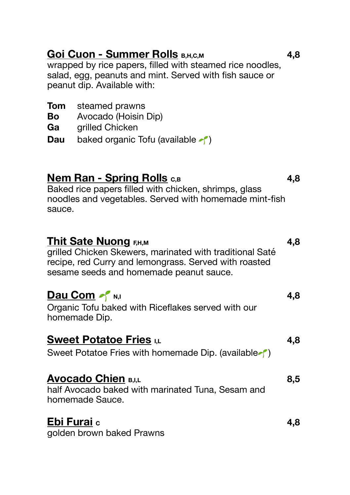# Goi Cuon - Summer Rolls **B,H,C,M 4,8**

wrapped by rice papers, filled with steamed rice noodles, salad, egg, peanuts and mint. Served with fish sauce or peanut dip. Available with:

| <b>Tom</b> steamed prawns              |
|----------------------------------------|
| Avocado (Hoisin Dip)                   |
| grilled Chicken                        |
| baked organic Tofu (available $\sim$ ) |
|                                        |
|                                        |
|                                        |

# **Nem Ran - Spring Rolls**  $c, B$  **4,8**

Baked rice papers filled with chicken, shrimps, glass noodles and vegetables. Served with homemade mint-fish sauce.

| <b>Thit Sate Nuong F,H,M</b><br>grilled Chicken Skewers, marinated with traditional Saté<br>recipe, red Curry and lemongrass. Served with roasted<br>sesame seeds and homemade peanut sauce. | 4,8 |
|----------------------------------------------------------------------------------------------------------------------------------------------------------------------------------------------|-----|
| Dau Com of N,I<br>Organic Tofu baked with Riceflakes served with our<br>homemade Dip.                                                                                                        | 4,8 |
| <b>Sweet Potatoe Fries</b> I,L<br>Sweet Potatoe Fries with homemade Dip. (available )                                                                                                        | 4,8 |
| <b>Avocado Chien B,I,L</b><br>half Avocado baked with marinated Tuna, Sesam and<br>homemade Sauce.                                                                                           | 8,5 |
| Ebi Furai c<br>golden brown baked Prawns                                                                                                                                                     | 4.8 |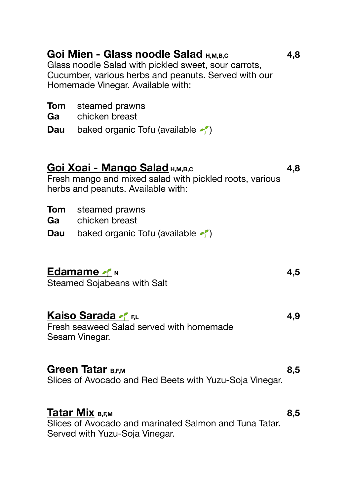# **Goi Mien - Glass noodle Salad <b>H,M,B,C** 4,8

Glass noodle Salad with pickled sweet, sour carrots, Cucumber, various herbs and peanuts. Served with our Homemade Vinegar. Available with:

| <b>Tom</b> | steamed prawns |  |
|------------|----------------|--|
|------------|----------------|--|

- **Ga** chicken breast
- **Dau** baked organic Tofu (available  $\leq$ )

## Goi Xoai - Mango Salad  $H_{M, B, C}$  **4,8 4,8**

Fresh mango and mixed salad with pickled roots, various herbs and peanuts. Available with:

- **Tom** steamed prawns
- **Ga** chicken breast
- **Dau** baked organic Tofu (available  $\uparrow$ )

# **Edamame**  $\leq N$  **N 4.5**

Steamed Sojabeans with Salt

# **Kaiso Sarada**  $\leq$  **FL 1.1 4.9 4.9**

Fresh seaweed Salad served with homemade Sesam Vinegar.

## **Green Tatar B,EM 8.5**

Slices of Avocado and Red Beets with Yuzu-Soja Vinegar.

## **Tatar Mix B,F,M 8,5**

Slices of Avocado and marinated Salmon and Tuna Tatar. Served with Yuzu-Soja Vinegar.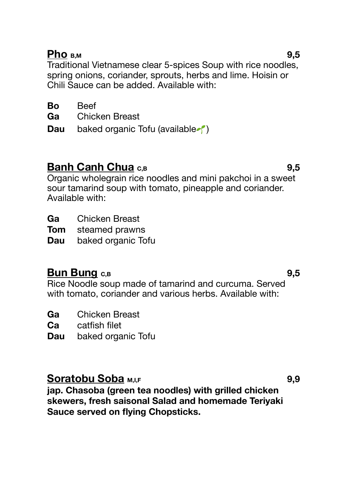## **Pho B,M 9,5**

Traditional Vietnamese clear 5-spices Soup with rice noodles, spring onions, coriander, sprouts, herbs and lime. Hoisin or Chili Sauce can be added. Available with:

**Ga** Chicken Breast

**Dau** baked organic Tofu (available  $\uparrow$ )

# **Banh Canh Chua**  $c$ ,B **9,5 9,5**

Organic wholegrain rice noodles and mini pakchoi in a sweet sour tamarind soup with tomato, pineapple and coriander. Available with:

**Ga** Chicken Breast

**Tom** steamed prawns

**Dau** baked organic Tofu

# **Bun Bung c,B 9,5**

Rice Noodle soup made of tamarind and curcuma. Served with tomato, coriander and various herbs. Available with:

**Ga** Chicken Breast

**Ca** catfish filet

**Dau** baked organic Tofu

# **Soratobu Soba**  $M_{1,1,F}$  **9,9 9,9**

**jap. Chasoba (green tea noodles) with grilled chicken skewers, fresh saisonal Salad and homemade Teriyaki Sauce served on flying Chopsticks.**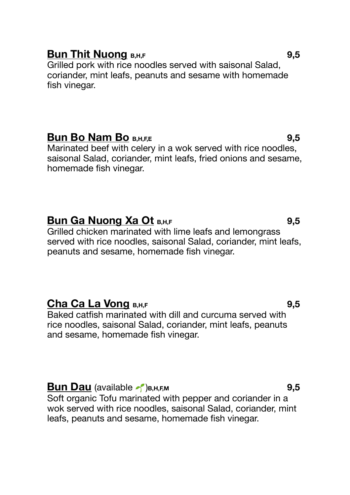## **Bun Thit Nuong B,H,F BUN 2009 9.5**

Grilled pork with rice noodles served with saisonal Salad, coriander, mint leafs, peanuts and sesame with homemade fish vinegar.

## **Bun Bo Nam Bo B,H,EE BLO B BLO 9.5**

Marinated beef with celery in a wok served with rice noodles, saisonal Salad, coriander, mint leafs, fried onions and sesame, homemade fish vinegar.

# **Bun Ga Nuong Xa Ot B,H,F 19.5 9.5**

Grilled chicken marinated with lime leafs and lemongrass served with rice noodles, saisonal Salad, coriander, mint leafs, peanuts and sesame, homemade fish vinegar.

## **Cha Ca La Vong B,H,F 9,5**

Baked catfish marinated with dill and curcuma served with rice noodles, saisonal Salad, coriander, mint leafs, peanuts and sesame, homemade fish vinegar.

## **Bun Dau** (available  $\sim$ ) **B,H,F,M 9,5**

Soft organic Tofu marinated with pepper and coriander in a wok served with rice noodles, saisonal Salad, coriander, mint leafs, peanuts and sesame, homemade fish vinegar.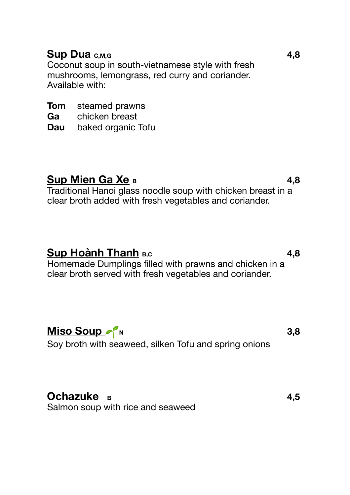# **Sup Dua c,M,G 4,8**

Coconut soup in south-vietnamese style with fresh mushrooms, lemongrass, red curry and coriander. Available with:

**Tom** steamed prawns

**Ga** chicken breast

**Dau** baked organic Tofu

# Sup Mien Ga Xe **B 4,8**

Traditional Hanoi glass noodle soup with chicken breast in a clear broth added with fresh vegetables and coriander.

# **Sup Hoành Thanh B,c 4,8**

Homemade Dumplings filled with prawns and chicken in a clear broth served with fresh vegetables and coriander.

 $Miso$  **Soup N**  $N$ 

Soy broth with seaweed, silken Tofu and spring onions

# **Ochazuke <sup>B</sup> 4,5**

Salmon soup with rice and seaweed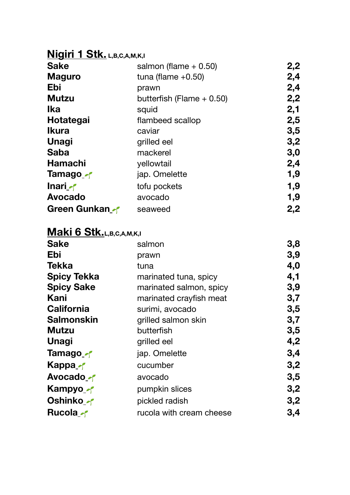# **Nigiri 1 Stk. L,B,C,A,M,K,I**

| <b>Sake</b>    | salmon (flame $+0.50$ )     | 2,2 |
|----------------|-----------------------------|-----|
| <b>Maguro</b>  | tuna (flame $+0.50$ )       | 2,4 |
| Ebi            | prawn                       | 2,4 |
| <b>Mutzu</b>   | butterfish (Flame $+$ 0.50) | 2,2 |
| Ika            | squid                       | 2,1 |
| Hotategai      | flambeed scallop            | 2,5 |
| <b>Ikura</b>   | caviar                      | 3,5 |
| Unagi          | grilled eel                 | 3,2 |
| <b>Saba</b>    | mackerel                    | 3,0 |
| Hamachi        | vellowtail                  | 2,4 |
| Tamago_~       | jap. Omelette               | 1,9 |
| Inari A        | tofu pockets                | 1,9 |
| <b>Avocado</b> | avocado                     | 1,9 |
| Green Gunkan   | seaweed                     | 2,2 |

# **Maki 6 Stk.L,B,C,A,M,K,I**

| <b>Sake</b>                | salmon                   | 3,8 |
|----------------------------|--------------------------|-----|
| Ebi                        | prawn                    | 3,9 |
| Tekka                      | tuna                     | 4,0 |
| <b>Spicy Tekka</b>         | marinated tuna, spicy    | 4,1 |
| <b>Spicy Sake</b>          | marinated salmon, spicy  | 3,9 |
| Kani                       | marinated crayfish meat  | 3,7 |
| California                 | surimi, avocado          | 3,5 |
| <b>Salmonskin</b>          | grilled salmon skin      | 3,7 |
| Mutzu                      | butterfish               | 3,5 |
| <b>Unagi</b>               | grilled eel              | 4,2 |
| Tamago_~                   | jap. Omelette            | 3,4 |
| <b>Kappa</b> <sub>-1</sub> | cucumber                 | 3,2 |
| Avocado -                  | avocado                  | 3,5 |
| Kampyo -                   | pumpkin slices           | 3,2 |
| Oshinko ~                  | pickled radish           | 3,2 |
| <b>Rucola</b> <sub></sub>  | rucola with cream cheese | 3,4 |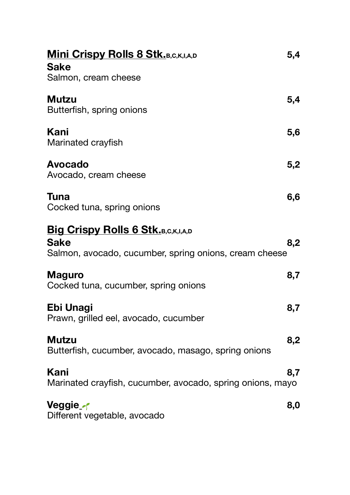| <b>Mini Crispy Rolls 8 Stk.</b> B, C, K, I, A, D           | 5,4 |
|------------------------------------------------------------|-----|
| <b>Sake</b>                                                |     |
| Salmon, cream cheese                                       |     |
| <b>Mutzu</b>                                               | 5,4 |
| Butterfish, spring onions                                  |     |
|                                                            |     |
| Kani                                                       | 5,6 |
| Marinated crayfish                                         |     |
| <b>Avocado</b>                                             | 5,2 |
| Avocado, cream cheese                                      |     |
|                                                            |     |
| Tuna                                                       | 6,6 |
| Cocked tuna, spring onions                                 |     |
| <b>Big Crispy Rolls 6 Stk.B,C,K,I,A,D</b>                  |     |
| <b>Sake</b>                                                | 8,2 |
| Salmon, avocado, cucumber, spring onions, cream cheese     |     |
|                                                            |     |
| <b>Maguro</b>                                              | 8,7 |
| Cocked tuna, cucumber, spring onions                       |     |
| Ebi Unagi                                                  | 8,7 |
| Prawn, grilled eel, avocado, cucumber                      |     |
|                                                            |     |
| <b>Mutzu</b>                                               | 8,2 |
| Butterfish, cucumber, avocado, masago, spring onions       |     |
| Kani                                                       | 8,7 |
| Marinated crayfish, cucumber, avocado, spring onions, mayo |     |
|                                                            |     |
| Veggie_ <i>-</i> r                                         | 8,0 |
| Different vegetable, avocado                               |     |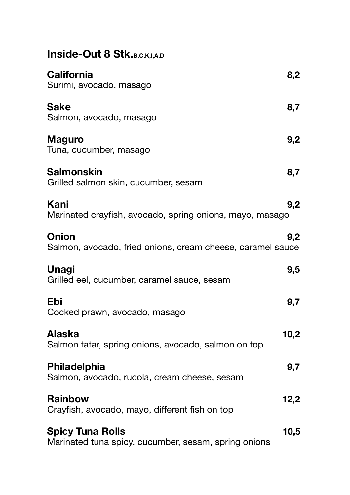| <b>Inside-Out 8 Stk.</b> B, C, K, I, A, D                                       |      |
|---------------------------------------------------------------------------------|------|
| <b>California</b><br>Surimi, avocado, masago                                    | 8,2  |
| <b>Sake</b><br>Salmon, avocado, masago                                          | 8,7  |
| <b>Maguro</b><br>Tuna, cucumber, masago                                         | 9,2  |
| <b>Salmonskin</b><br>Grilled salmon skin, cucumber, sesam                       | 8,7  |
| Kani<br>Marinated crayfish, avocado, spring onions, mayo, masago                | 9,2  |
| Onion<br>Salmon, avocado, fried onions, cream cheese, caramel sauce             | 9,2  |
| <b>Unagi</b><br>Grilled eel, cucumber, caramel sauce, sesam                     | 9,5  |
| Ebi<br>Cocked prawn, avocado, masago                                            | 9,7  |
| <b>Alaska</b><br>Salmon tatar, spring onions, avocado, salmon on top            | 10,2 |
| Philadelphia<br>Salmon, avocado, rucola, cream cheese, sesam                    | 9,7  |
| <b>Rainbow</b><br>Crayfish, avocado, mayo, different fish on top                | 12,2 |
| <b>Spicy Tuna Rolls</b><br>Marinated tuna spicy, cucumber, sesam, spring onions | 10,5 |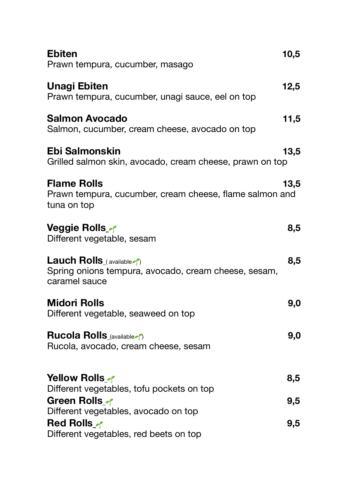| <b>Ebiten</b><br>Prawn tempura, cucumber, masago                                                                  | 10,5 |
|-------------------------------------------------------------------------------------------------------------------|------|
| <b>Unagi Ebiten</b><br>Prawn tempura, cucumber, unagi sauce, eel on top                                           | 12,5 |
| <b>Salmon Avocado</b><br>Salmon, cucumber, cream cheese, avocado on top                                           | 11,5 |
| Ebi Salmonskin<br>Grilled salmon skin, avocado, cream cheese, prawn on top                                        | 13,5 |
| <b>Flame Rolls</b><br>Prawn tempura, cucumber, cream cheese, flame salmon and<br>tuna on top                      | 13,5 |
| Veggie Rolls_∤<br>Different vegetable, sesam                                                                      | 8,5  |
| <b>Lauch Rolls</b> (available $\gamma$ )<br>Spring onions tempura, avocado, cream cheese, sesam,<br>caramel sauce | 8,5  |
| <b>Midori Rolls</b><br>Different vegetable, seaweed on top                                                        | 9,0  |
| <b>Rucola Rolls</b> (available 1)<br>Rucola, avocado, cream cheese, sesam                                         | 9,0  |
| Yellow Rolls of<br>Different vegetables, tofu pockets on top                                                      | 8,5  |
| <b>Green Rolls of</b><br>Different vegetables, avocado on top                                                     | 9,5  |
| <b>Red Rolls</b><br>Different vegetables, red beets on top                                                        | 9,5  |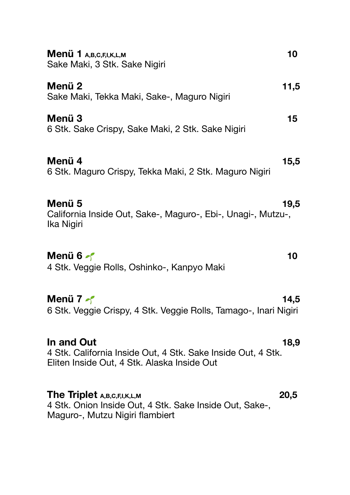| Menü 1 A, B, C, F, I, K, L, M<br>Sake Maki, 3 Stk. Sake Nigiri                                                            | 10     |
|---------------------------------------------------------------------------------------------------------------------------|--------|
| Menü 2<br>Sake Maki, Tekka Maki, Sake-, Maguro Nigiri                                                                     | 11,5   |
| Menü 3<br>6 Stk. Sake Crispy, Sake Maki, 2 Stk. Sake Nigiri                                                               | $15\,$ |
| Menü 4<br>6 Stk. Maguro Crispy, Tekka Maki, 2 Stk. Maguro Nigiri                                                          | 15,5   |
| Menü 5<br>California Inside Out, Sake-, Maguro-, Ebi-, Unagi-, Mutzu-,<br>Ika Nigiri                                      | 19,5   |
| Menü 6<br>4 Stk. Veggie Rolls, Oshinko-, Kanpyo Maki                                                                      | 10     |
| Menü 7<br>6 Stk. Veggie Crispy, 4 Stk. Veggie Rolls, Tamago-, Inari Nigiri                                                | 14,5   |
| In and Out<br>4 Stk. California Inside Out, 4 Stk. Sake Inside Out, 4 Stk.<br>Eliten Inside Out, 4 Stk. Alaska Inside Out | 18,9   |
| The Triplet A,B,C,F,I,K,L,M<br>4 Stk. Onion Inside Out, 4 Stk. Sake Inside Out, Sake-,<br>Maguro-, Mutzu Nigiri flambiert | 20,5   |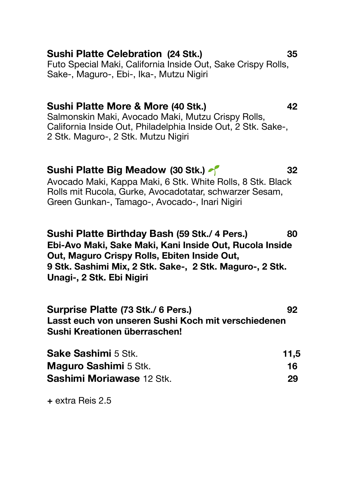## **Sushi Platte Celebration (24 Stk.) 35**

Futo Special Maki, California Inside Out, Sake Crispy Rolls, Sake-, Maguro-, Ebi-, Ika-, Mutzu Nigiri

## **Sushi Platte More & More (40 Stk.) 42**

Salmonskin Maki, Avocado Maki, Mutzu Crispy Rolls, California Inside Out, Philadelphia Inside Out, 2 Stk. Sake-, 2 Stk. Maguro-, 2 Stk. Mutzu Nigiri

### **Sushi Platte Big Meadow (30 Stk.) 32**

Avocado Maki, Kappa Maki, 6 Stk. White Rolls, 8 Stk. Black Rolls mit Rucola, Gurke, Avocadotatar, schwarzer Sesam, Green Gunkan-, Tamago-, Avocado-, Inari Nigiri

**Sushi Platte Birthday Bash (59 Stk./ 4 Pers.) 80 Ebi-Avo Maki, Sake Maki, Kani Inside Out, Rucola Inside Out, Maguro Crispy Rolls, Ebiten Inside Out, 9 Stk. Sashimi Mix, 2 Stk. Sake-, 2 Stk. Maguro-, 2 Stk. Unagi-, 2 Stk. Ebi Nigiri** 

**Surprise Platte (73 Stk./ 6 Pers.) 92 Lasst euch von unseren Sushi Koch mit verschiedenen Sushi Kreationen überraschen!** 

| <b>Sake Sashimi 5 Stk.</b>   | 11,5 |
|------------------------------|------|
| <b>Maguro Sashimi 5 Stk.</b> | 16.  |
| Sashimi Moriawase 12 Stk.    | 29   |

**+** extra Reis 2.5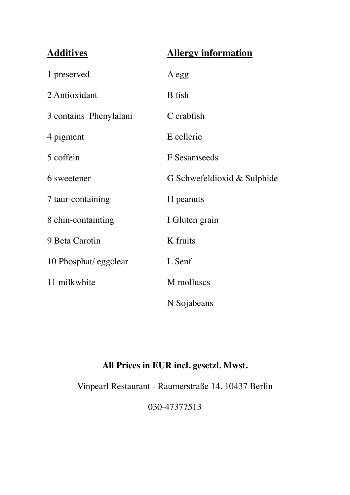| <b>Additives</b>       | <b>Allergy information</b>  |
|------------------------|-----------------------------|
| 1 preserved            | A egg                       |
| 2 Antioxidant          | B fish                      |
| 3 contains Phenylalani | C crabfish                  |
| 4 pigment              | E cellerie                  |
| 5 coffein              | F Sesamseeds                |
| 6 sweetener            | G Schwefeldioxid & Sulphide |
| 7 taur-containing      | H peanuts                   |
| 8 chin-containting     | I Gluten grain              |
| 9 Beta Carotin         | K fruits                    |
| 10 Phosphat/ eggclear  | L Senf                      |
| 11 milkwhite           | M molluscs                  |
|                        | N Sojabeans                 |

## **All Prices in EUR incl. gesetzl. Mwst.**

Vinpearl Restaurant - Raumerstraße 14, 10437 Berlin

030-47377513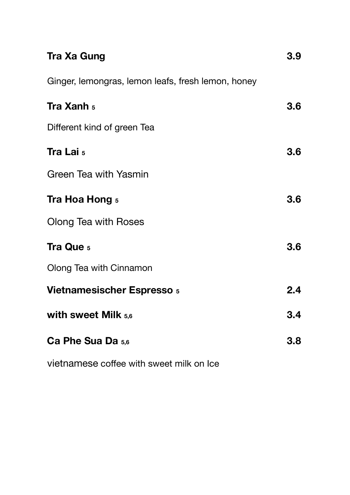| <b>Tra Xa Gung</b>                                 | 3.9 |
|----------------------------------------------------|-----|
| Ginger, lemongras, lemon leafs, fresh lemon, honey |     |
| Tra Xanh 5                                         | 3.6 |
| Different kind of green Tea                        |     |
| Tra Lai <sub>5</sub>                               | 3.6 |
| Green Tea with Yasmin                              |     |
| Tra Hoa Hong 5                                     | 3.6 |
| Olong Tea with Roses                               |     |
| Tra Que 5                                          | 3.6 |
| Olong Tea with Cinnamon                            |     |
| <b>Vietnamesischer Espresso 5</b>                  | 2.4 |
| with sweet Milk $5,6$                              | 3.4 |
| Ca Phe Sua Da 5.6                                  | 3.8 |
|                                                    |     |

vietnamese coffee with sweet milk on Ice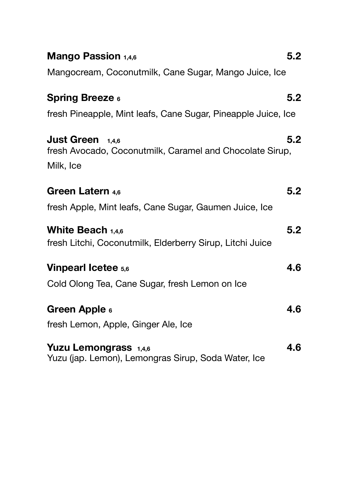| Mango Passion 1,4,6                                                                                | 5.2 |
|----------------------------------------------------------------------------------------------------|-----|
| Mangocream, Coconutmilk, Cane Sugar, Mango Juice, Ice                                              |     |
| <b>Spring Breeze 6</b>                                                                             | 5.2 |
| fresh Pineapple, Mint leafs, Cane Sugar, Pineapple Juice, Ice                                      |     |
| <b>Just Green</b> $1,4,6$<br>fresh Avocado, Coconutmilk, Caramel and Chocolate Sirup,<br>Milk, Ice | 5.2 |
| Green Latern 4,6                                                                                   | 5.2 |
| fresh Apple, Mint leafs, Cane Sugar, Gaumen Juice, Ice                                             |     |
| White Beach $1,4,6$<br>fresh Litchi, Coconutmilk, Elderberry Sirup, Litchi Juice                   | 5.2 |
| <b>Vinpearl Icetee 5,6</b>                                                                         | 4.6 |
| Cold Olong Tea, Cane Sugar, fresh Lemon on Ice                                                     |     |
| Green Apple 6<br>fresh Lemon, Apple, Ginger Ale, Ice                                               | 4.6 |
| Yuzu Lemongrass 1,4,6<br>Yuzu (jap. Lemon), Lemongras Sirup, Soda Water, Ice                       | 4.6 |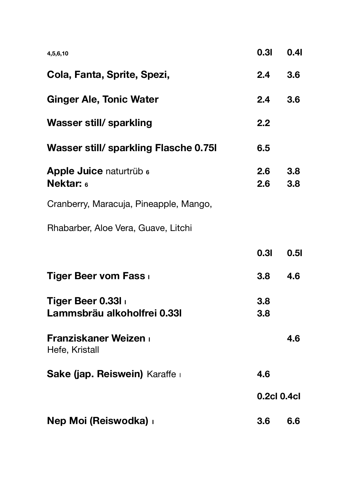| 4,5,6,10                                        | 0.31       | 0.41                    |  |
|-------------------------------------------------|------------|-------------------------|--|
| Cola, Fanta, Sprite, Spezi,                     | 2.4        | 3.6                     |  |
| <b>Ginger Ale, Tonic Water</b>                  | 2.4        | 3.6                     |  |
| Wasser still/ sparkling                         | 2.2        |                         |  |
| Wasser still/ sparkling Flasche 0.75I           | 6.5        |                         |  |
| Apple Juice naturtrüb 6<br><b>Nektar: 6</b>     | 2.6<br>2.6 | 3.8 <sub>2</sub><br>3.8 |  |
| Cranberry, Maracuja, Pineapple, Mango,          |            |                         |  |
| Rhabarber, Aloe Vera, Guave, Litchi             |            |                         |  |
|                                                 | 0.31       | 0.51                    |  |
| Tiger Beer vom Fass                             | 3.8        | 4.6                     |  |
| Tiger Beer 0.33I<br>Lammsbräu alkoholfrei 0.331 | 3.8<br>3.8 |                         |  |
| <b>Franziskaner Weizen</b><br>Hefe, Kristall    |            | 4.6                     |  |
| Sake (jap. Reiswein) Karaffe                    | 4.6        |                         |  |
|                                                 |            | 0.2cl 0.4cl             |  |
| Nep Moi (Reiswodka) i                           | 3.6        | 6.6                     |  |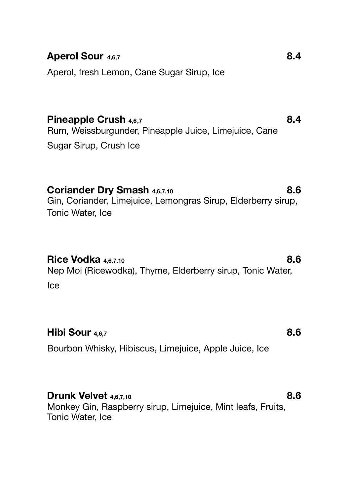## **Aperol Sour 4,6,7 8.4**

Aperol, fresh Lemon, Cane Sugar Sirup, Ice

**Pineapple Crush 4,6,7 8.4** Rum, Weissburgunder, Pineapple Juice, Limejuice, Cane Sugar Sirup, Crush Ice

**Coriander Dry Smash 4,6,7,10 8.6** Gin, Coriander, Limejuice, Lemongras Sirup, Elderberry sirup, Tonic Water, Ice

#### **Rice Vodka** 4,6,7,10 **8.6**

Nep Moi (Ricewodka), Thyme, Elderberry sirup, Tonic Water, Ice

## **Hibi Sour 4,6,7 8.6**

Bourbon Whisky, Hibiscus, Limejuice, Apple Juice, Ice

#### **Drunk Velvet** 4,6,7,10 **8.6**

Monkey Gin, Raspberry sirup, Limejuice, Mint leafs, Fruits, Tonic Water, Ice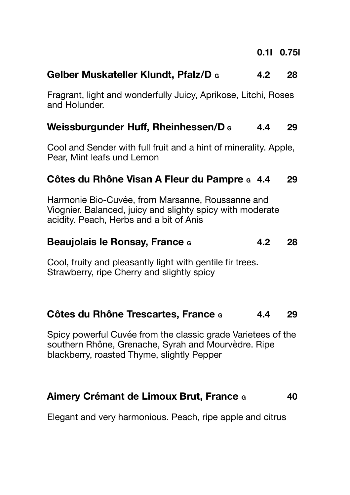## **Gelber Muskateller Klundt, Pfalz/D G 4.2 28**

Fragrant, light and wonderfully Juicy, Aprikose, Litchi, Roses and Holunder.

## **Weissburgunder Huff, Rheinhessen/D**  $\epsilon$  4.4 29

Cool and Sender with full fruit and a hint of minerality. Apple, Pear, Mint leafs und Lemon

## **Côtes du Rhône Visan A Fleur du Pampre G 4.4 29**

Harmonie Bio-Cuvée, from Marsanne, Roussanne and Viognier. Balanced, juicy and slighty spicy with moderate acidity. Peach, Herbs and a bit of Anis

## **Beaujolais le Ronsay, France c** 4.2 28

Cool, fruity and pleasantly light with gentile fir trees. Strawberry, ripe Cherry and slightly spicy

#### **Côtes du Rhône Trescartes, France G 4.4 29**

Spicy powerful Cuvée from the classic grade Varietees of the southern Rhône, Grenache, Syrah and Mourvèdre. Ripe blackberry, roasted Thyme, slightly Pepper

## **Aimery Crémant de Limoux Brut, France G 40**

Elegant and very harmonious. Peach, ripe apple and citrus